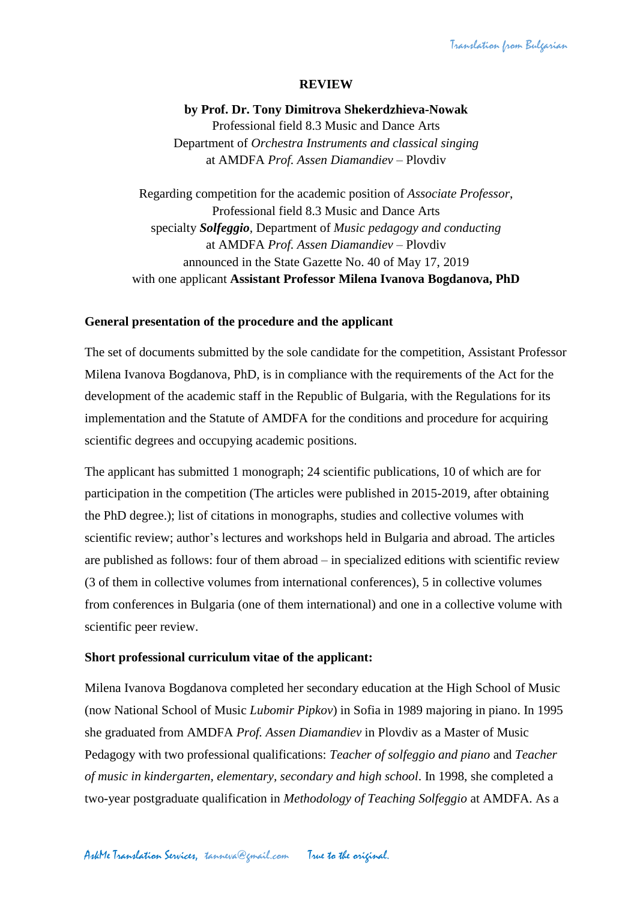## **REVIEW**

**by Prof. Dr. Tony Dimitrova Shekerdzhieva-Nowak** Professional field 8.3 Music and Dance Arts Department of *Orchestra Instruments and classical singing* at AMDFA *Prof. Assen Diamandiev* – Plovdiv

Regarding competition for the academic position of *Associate Professor*, Professional field 8.3 Music and Dance Arts specialty *Solfeggio,* Department of *Music pedagogy and conducting* at AMDFA *Prof. Assen Diamandiev* – Plovdiv announced in the State Gazette No. 40 of May 17, 2019 with one applicant **Assistant Professor Milena Ivanova Bogdanova, PhD**

### **General presentation of the procedure and the applicant**

The set of documents submitted by the sole candidate for the competition, Assistant Professor Milena Ivanova Bogdanova, PhD, is in compliance with the requirements of the Act for the development of the academic staff in the Republic of Bulgaria, with the Regulations for its implementation and the Statute of AMDFA for the conditions and procedure for acquiring scientific degrees and occupying academic positions.

The applicant has submitted 1 monograph; 24 scientific publications, 10 of which are for participation in the competition (The articles were published in 2015-2019, after obtaining the PhD degree.); list of citations in monographs, studies and collective volumes with scientific review; author's lectures and workshops held in Bulgaria and abroad. The articles are published as follows: four of them abroad – in specialized editions with scientific review (3 of them in collective volumes from international conferences), 5 in collective volumes from conferences in Bulgaria (one of them international) and one in a collective volume with scientific peer review.

#### **Short professional curriculum vitae of the applicant:**

Milena Ivanova Bogdanova completed her secondary education at the High School of Music (now National School of Music *Lubomir Pipkov*) in Sofia in 1989 majoring in piano. In 1995 she graduated from AMDFA *Prof. Assen Diamandiev* in Plovdiv as a Master of Music Pedagogy with two professional qualifications: *Teacher of solfeggio and piano* and *Teacher of music in kindergarten, elementary, secondary and high school*. In 1998, she completed a two-year postgraduate qualification in *Methodology of Teaching Solfeggio* at AMDFA. As a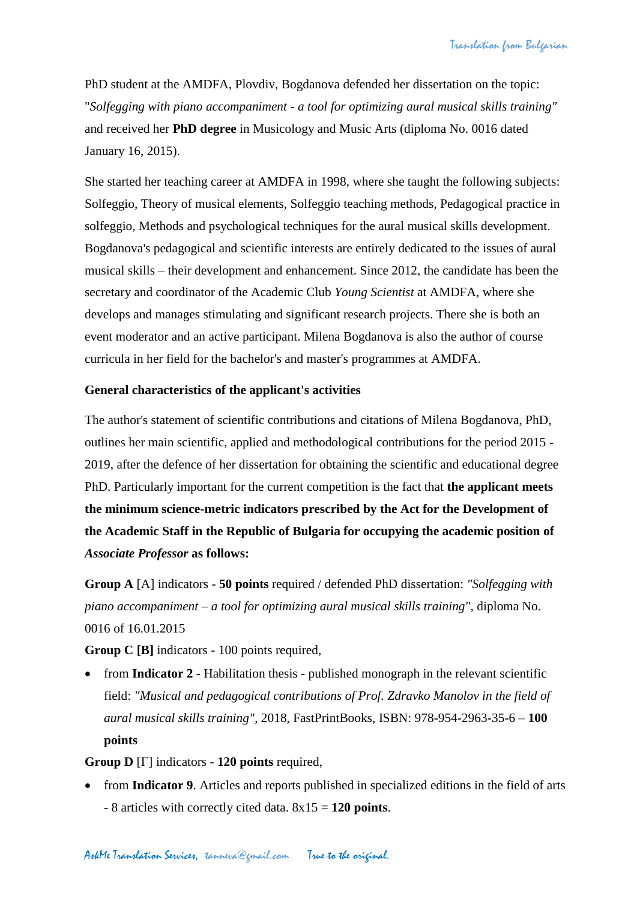PhD student at the AMDFA, Plovdiv, Bogdanova defended her dissertation on the topic: "*Solfegging with piano accompaniment - a tool for optimizing aural musical skills training"* and received her **PhD degree** in Musicology and Music Arts (diploma No. 0016 dated January 16, 2015).

She started her teaching career at AMDFA in 1998, where she taught the following subjects: Solfeggio, Theory of musical elements, Solfeggio teaching methods, Pedagogical practice in solfeggio, Methods and psychological techniques for the aural musical skills development. Bogdanova's pedagogical and scientific interests are entirely dedicated to the issues of aural musical skills – their development and enhancement. Since 2012, the candidate has been the secretary and coordinator of the Academic Club *Young Scientist* at AMDFA, where she develops and manages stimulating and significant research projects. There she is both an event moderator and an active participant. Milena Bogdanova is also the author of course curricula in her field for the bachelor's and master's programmes at AMDFA.

# **General characteristics of the applicant's activities**

The author's statement of scientific contributions and citations of Milena Bogdanova, PhD, outlines her main scientific, applied and methodological contributions for the period 2015 - 2019, after the defence of her dissertation for obtaining the scientific and educational degree PhD. Particularly important for the current competition is the fact that **the applicant meets the minimum science-metric indicators prescribed by the Act for the Development of the Academic Staff in the Republic of Bulgaria for occupying the academic position of**  *Associate Professor* **as follows:**

**Group A** [A] indicators - **50 points** required / defended PhD dissertation: *"Solfegging with piano accompaniment – a tool for optimizing aural musical skills training"*, diploma No. 0016 of 16.01.2015

**Group C [B]** indicators - 100 points required,

• from **Indicator 2** - Habilitation thesis - published monograph in the relevant scientific field: *"Musical and pedagogical contributions of Prof. Zdravko Manolov in the field of aural musical skills training"*, 2018, FastPrintBooks, ISBN: 978-954-2963-35-6 – **100 points**

**Group D** [Г] indicators - **120 points** required,

• from **Indicator 9**. Articles and reports published in specialized editions in the field of arts - 8 articles with correctly cited data. 8x15 = **120 points**.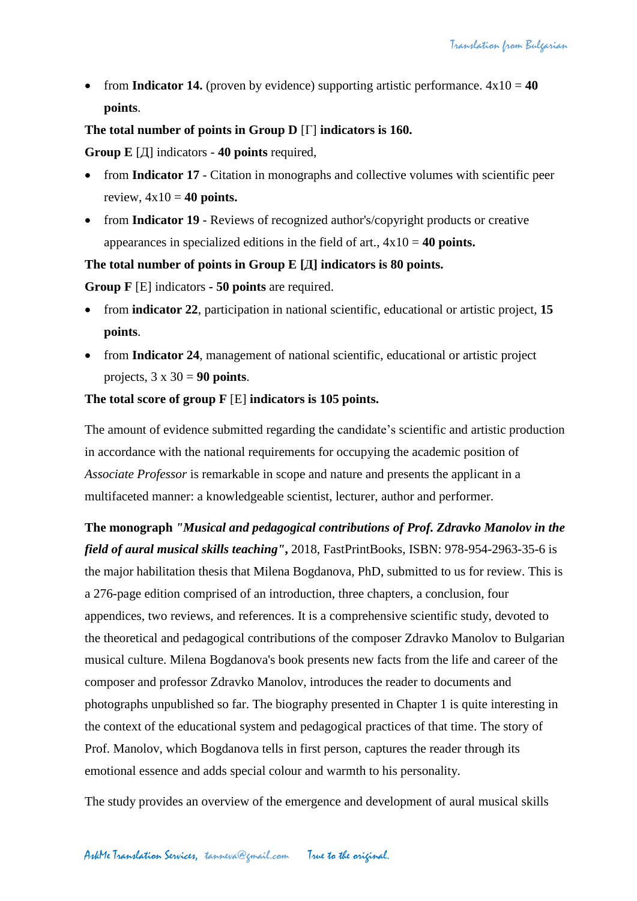from **Indicator 14.** (proven by evidence) supporting artistic performance.  $4x10 = 40$ **points**.

# **The total number of points in Group D** [Г] **indicators is 160.**

**Group E** [Д] indicators - **40 points** required,

- from **Indicator 17** Citation in monographs and collective volumes with scientific peer review,  $4x10 = 40$  **points.**
- from **Indicator 19** Reviews of recognized author's/copyright products or creative appearances in specialized editions in the field of art., 4x10 = **40 points.**

# **The total number of points in Group E [Д] indicators is 80 points.**

**Group F** [E] indicators **- 50 points** are required.

- from **indicator 22**, participation in national scientific, educational or artistic project, **15 points**.
- from **Indicator 24**, management of national scientific, educational or artistic project projects,  $3 \times 30 = 90$  points.

# **The total score of group F** [E] **indicators is 105 points.**

The amount of evidence submitted regarding the candidate's scientific and artistic production in accordance with the national requirements for occupying the academic position of *Associate Professor* is remarkable in scope and nature and presents the applicant in a multifaceted manner: a knowledgeable scientist, lecturer, author and performer.

**The monograph** *"Musical and pedagogical contributions of Prof. Zdravko Manolov in the field of aural musical skills teaching"***,** 2018, FastPrintBooks, ISBN: 978-954-2963-35-6 is the major habilitation thesis that Milena Bogdanova, PhD, submitted to us for review. This is a 276-page edition comprised of an introduction, three chapters, a conclusion, four appendices, two reviews, and references. It is a comprehensive scientific study, devoted to the theoretical and pedagogical contributions of the composer Zdravko Manolov to Bulgarian musical culture. Milena Bogdanova's book presents new facts from the life and career of the composer and professor Zdravko Manolov, introduces the reader to documents and photographs unpublished so far. The biography presented in Chapter 1 is quite interesting in the context of the educational system and pedagogical practices of that time. The story of Prof. Manolov, which Bogdanova tells in first person, captures the reader through its emotional essence and adds special colour and warmth to his personality.

The study provides an overview of the emergence and development of aural musical skills